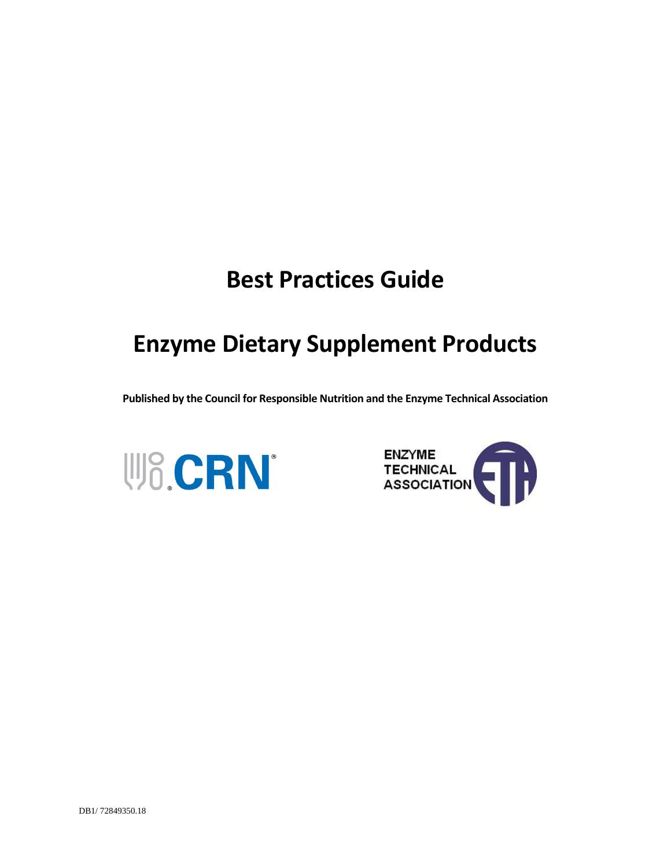# **Best Practices Guide**

# **Enzyme Dietary Supplement Products**

**Published by the Council for Responsible Nutrition and the Enzyme Technical Association** 



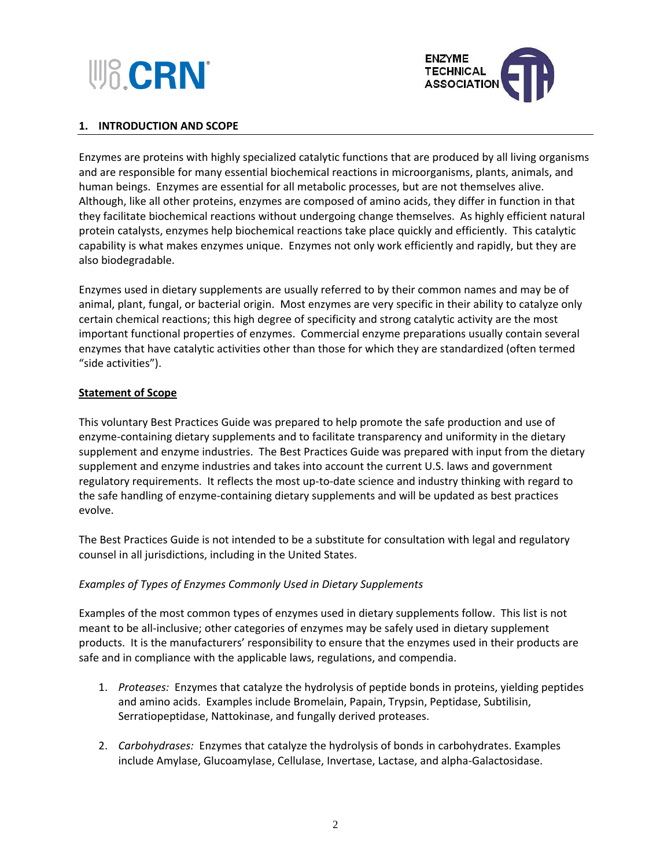



## **1. INTRODUCTION AND SCOPE**

Enzymes are proteins with highly specialized catalytic functions that are produced by all living organisms and are responsible for many essential biochemical reactions in microorganisms, plants, animals, and human beings. Enzymes are essential for all metabolic processes, but are not themselves alive. Although, like all other proteins, enzymes are composed of amino acids, they differ in function in that they facilitate biochemical reactions without undergoing change themselves. As highly efficient natural protein catalysts, enzymes help biochemical reactions take place quickly and efficiently. This catalytic capability is what makes enzymes unique. Enzymes not only work efficiently and rapidly, but they are also biodegradable.

Enzymes used in dietary supplements are usually referred to by their common names and may be of animal, plant, fungal, or bacterial origin. Most enzymes are very specific in their ability to catalyze only certain chemical reactions; this high degree of specificity and strong catalytic activity are the most important functional properties of enzymes. Commercial enzyme preparations usually contain several enzymes that have catalytic activities other than those for which they are standardized (often termed "side activities").

#### **Statement of Scope**

This voluntary Best Practices Guide was prepared to help promote the safe production and use of enzyme-containing dietary supplements and to facilitate transparency and uniformity in the dietary supplement and enzyme industries. The Best Practices Guide was prepared with input from the dietary supplement and enzyme industries and takes into account the current U.S. laws and government regulatory requirements. It reflects the most up-to-date science and industry thinking with regard to the safe handling of enzyme-containing dietary supplements and will be updated as best practices evolve.

The Best Practices Guide is not intended to be a substitute for consultation with legal and regulatory counsel in all jurisdictions, including in the United States.

#### *Examples of Types of Enzymes Commonly Used in Dietary Supplements*

Examples of the most common types of enzymes used in dietary supplements follow. This list is not meant to be all-inclusive; other categories of enzymes may be safely used in dietary supplement products. It is the manufacturers' responsibility to ensure that the enzymes used in their products are safe and in compliance with the applicable laws, regulations, and compendia.

- 1. *Proteases:* Enzymes that catalyze the hydrolysis of peptide bonds in proteins, yielding peptides and amino acids. Examples include Bromelain, Papain, Trypsin, Peptidase, Subtilisin, Serratiopeptidase, Nattokinase, and fungally derived proteases.
- 2. *Carbohydrases:* Enzymes that catalyze the hydrolysis of bonds in carbohydrates. Examples include Amylase, Glucoamylase, Cellulase, Invertase, Lactase, and alpha-Galactosidase.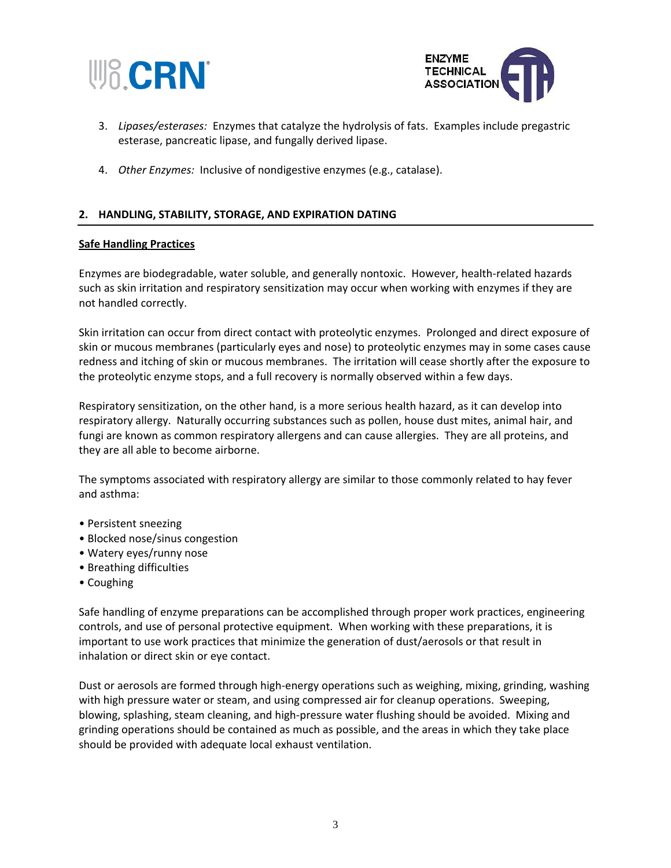



- 3. *Lipases/esterases:* Enzymes that catalyze the hydrolysis of fats. Examples include pregastric esterase, pancreatic lipase, and fungally derived lipase.
- 4. *Other Enzymes:* Inclusive of nondigestive enzymes (e.g., catalase).

#### **2. HANDLING, STABILITY, STORAGE, AND EXPIRATION DATING**

#### **Safe Handling Practices**

Enzymes are biodegradable, water soluble, and generally nontoxic. However, health-related hazards such as skin irritation and respiratory sensitization may occur when working with enzymes if they are not handled correctly.

Skin irritation can occur from direct contact with proteolytic enzymes. Prolonged and direct exposure of skin or mucous membranes (particularly eyes and nose) to proteolytic enzymes may in some cases cause redness and itching of skin or mucous membranes. The irritation will cease shortly after the exposure to the proteolytic enzyme stops, and a full recovery is normally observed within a few days.

Respiratory sensitization, on the other hand, is a more serious health hazard, as it can develop into respiratory allergy. Naturally occurring substances such as pollen, house dust mites, animal hair, and fungi are known as common respiratory allergens and can cause allergies. They are all proteins, and they are all able to become airborne.

The symptoms associated with respiratory allergy are similar to those commonly related to hay fever and asthma:

- Persistent sneezing
- Blocked nose/sinus congestion
- Watery eyes/runny nose
- Breathing difficulties
- Coughing

Safe handling of enzyme preparations can be accomplished through proper work practices, engineering controls, and use of personal protective equipment. When working with these preparations, it is important to use work practices that minimize the generation of dust/aerosols or that result in inhalation or direct skin or eye contact.

Dust or aerosols are formed through high-energy operations such as weighing, mixing, grinding, washing with high pressure water or steam, and using compressed air for cleanup operations. Sweeping, blowing, splashing, steam cleaning, and high-pressure water flushing should be avoided. Mixing and grinding operations should be contained as much as possible, and the areas in which they take place should be provided with adequate local exhaust ventilation.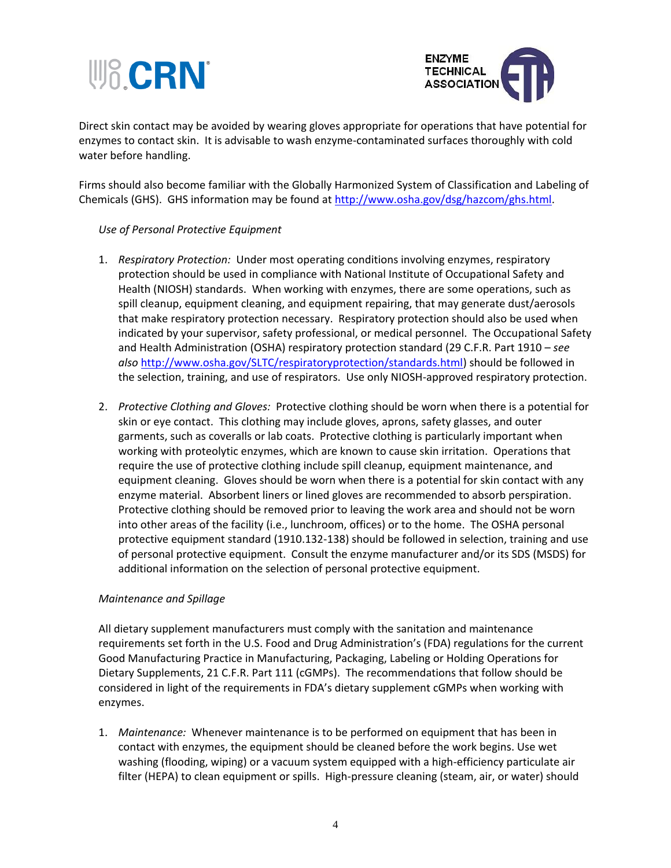



Direct skin contact may be avoided by wearing gloves appropriate for operations that have potential for enzymes to contact skin. It is advisable to wash enzyme-contaminated surfaces thoroughly with cold water before handling.

Firms should also become familiar with the Globally Harmonized System of Classification and Labeling of Chemicals (GHS). GHS information may be found at [http://www.osha.gov/dsg/hazcom/ghs.html.](http://www.osha.gov/dsg/hazcom/ghs.html)

## *Use of Personal Protective Equipment*

- 1. *Respiratory Protection:* Under most operating conditions involving enzymes, respiratory protection should be used in compliance with National Institute of Occupational Safety and Health (NIOSH) standards. When working with enzymes, there are some operations, such as spill cleanup, equipment cleaning, and equipment repairing, that may generate dust/aerosols that make respiratory protection necessary. Respiratory protection should also be used when indicated by your supervisor, safety professional, or medical personnel. The Occupational Safety and Health Administration (OSHA) respiratory protection standard (29 C.F.R. Part 1910 – *see also* [http://www.osha.gov/SLTC/respiratoryprotection/standards.html\)](http://www.osha.gov/SLTC/respiratoryprotection/standards.html) should be followed in the selection, training, and use of respirators. Use only NIOSH-approved respiratory protection.
- 2. *Protective Clothing and Gloves:* Protective clothing should be worn when there is a potential for skin or eye contact. This clothing may include gloves, aprons, safety glasses, and outer garments, such as coveralls or lab coats. Protective clothing is particularly important when working with proteolytic enzymes, which are known to cause skin irritation. Operations that require the use of protective clothing include spill cleanup, equipment maintenance, and equipment cleaning. Gloves should be worn when there is a potential for skin contact with any enzyme material. Absorbent liners or lined gloves are recommended to absorb perspiration. Protective clothing should be removed prior to leaving the work area and should not be worn into other areas of the facility (i.e., lunchroom, offices) or to the home. The OSHA personal protective equipment standard (1910.132-138) should be followed in selection, training and use of personal protective equipment. Consult the enzyme manufacturer and/or its SDS (MSDS) for additional information on the selection of personal protective equipment.

## *Maintenance and Spillage*

All dietary supplement manufacturers must comply with the sanitation and maintenance requirements set forth in the U.S. Food and Drug Administration's (FDA) regulations for the current Good Manufacturing Practice in Manufacturing, Packaging, Labeling or Holding Operations for Dietary Supplements, 21 C.F.R. Part 111 (cGMPs). The recommendations that follow should be considered in light of the requirements in FDA's dietary supplement cGMPs when working with enzymes.

1. *Maintenance:* Whenever maintenance is to be performed on equipment that has been in contact with enzymes, the equipment should be cleaned before the work begins. Use wet washing (flooding, wiping) or a vacuum system equipped with a high-efficiency particulate air filter (HEPA) to clean equipment or spills. High-pressure cleaning (steam, air, or water) should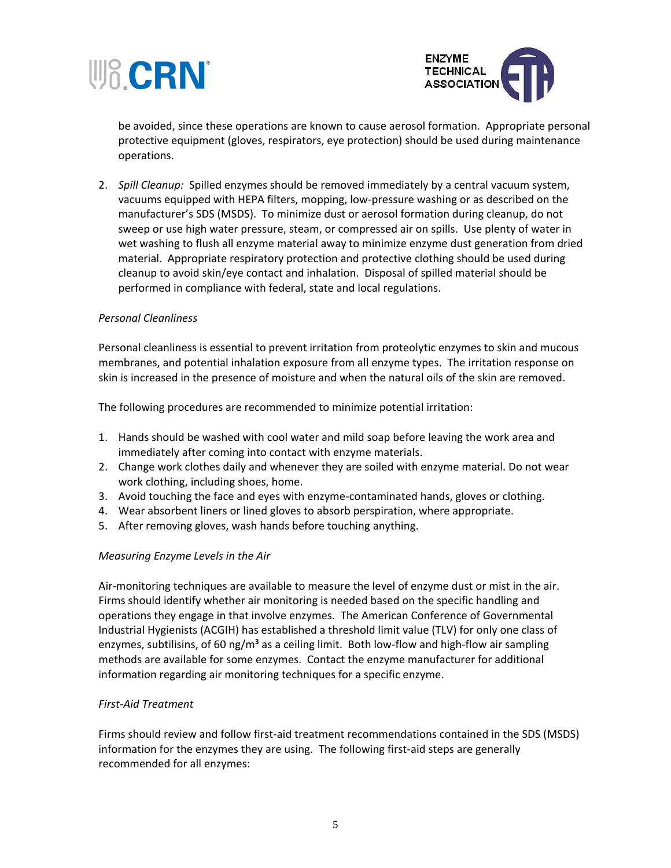



be avoided, since these operations are known to cause aerosol formation. Appropriate personal protective equipment (gloves, respirators, eye protection) should be used during maintenance operations.

2. *Spill Cleanup:* Spilled enzymes should be removed immediately by a central vacuum system, vacuums equipped with HEPA filters, mopping, low-pressure washing or as described on the manufacturer's SDS (MSDS). To minimize dust or aerosol formation during cleanup, do not sweep or use high water pressure, steam, or compressed air on spills. Use plenty of water in wet washing to flush all enzyme material away to minimize enzyme dust generation from dried material. Appropriate respiratory protection and protective clothing should be used during cleanup to avoid skin/eye contact and inhalation. Disposal of spilled material should be performed in compliance with federal, state and local regulations.

#### *Personal Cleanliness*

Personal cleanliness is essential to prevent irritation from proteolytic enzymes to skin and mucous membranes, and potential inhalation exposure from all enzyme types. The irritation response on skin is increased in the presence of moisture and when the natural oils of the skin are removed.

The following procedures are recommended to minimize potential irritation:

- 1. Hands should be washed with cool water and mild soap before leaving the work area and immediately after coming into contact with enzyme materials.
- 2. Change work clothes daily and whenever they are soiled with enzyme material. Do not wear work clothing, including shoes, home.
- 3. Avoid touching the face and eyes with enzyme-contaminated hands, gloves or clothing.
- 4. Wear absorbent liners or lined gloves to absorb perspiration, where appropriate.
- 5. After removing gloves, wash hands before touching anything.

#### *Measuring Enzyme Levels in the Air*

Air-monitoring techniques are available to measure the level of enzyme dust or mist in the air. Firms should identify whether air monitoring is needed based on the specific handling and operations they engage in that involve enzymes. The American Conference of Governmental Industrial Hygienists (ACGIH) has established a threshold limit value (TLV) for only one class of enzymes, subtilisins, of 60 ng/m<sup>3</sup> as a ceiling limit. Both low-flow and high-flow air sampling methods are available for some enzymes. Contact the enzyme manufacturer for additional information regarding air monitoring techniques for a specific enzyme.

#### *First-Aid Treatment*

Firms should review and follow first-aid treatment recommendations contained in the SDS (MSDS) information for the enzymes they are using. The following first-aid steps are generally recommended for all enzymes: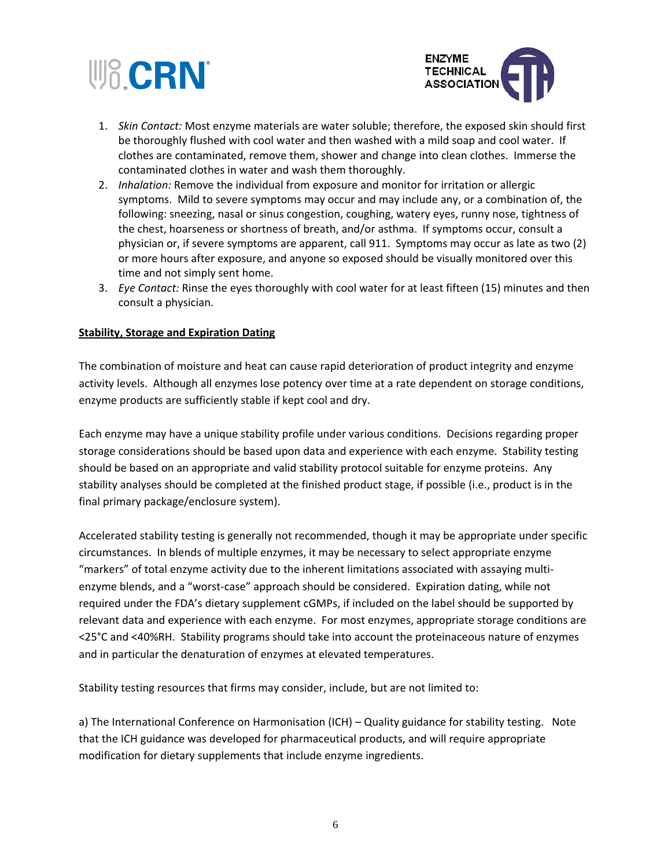



- 1. *Skin Contact:* Most enzyme materials are water soluble; therefore, the exposed skin should first be thoroughly flushed with cool water and then washed with a mild soap and cool water. If clothes are contaminated, remove them, shower and change into clean clothes. Immerse the contaminated clothes in water and wash them thoroughly.
- 2. *Inhalation:* Remove the individual from exposure and monitor for irritation or allergic symptoms. Mild to severe symptoms may occur and may include any, or a combination of, the following: sneezing, nasal or sinus congestion, coughing, watery eyes, runny nose, tightness of the chest, hoarseness or shortness of breath, and/or asthma. If symptoms occur, consult a physician or, if severe symptoms are apparent, call 911. Symptoms may occur as late as two (2) or more hours after exposure, and anyone so exposed should be visually monitored over this time and not simply sent home.
- 3. *Eye Contact:* Rinse the eyes thoroughly with cool water for at least fifteen (15) minutes and then consult a physician.

## **Stability, Storage and Expiration Dating**

The combination of moisture and heat can cause rapid deterioration of product integrity and enzyme activity levels. Although all enzymes lose potency over time at a rate dependent on storage conditions, enzyme products are sufficiently stable if kept cool and dry.

Each enzyme may have a unique stability profile under various conditions. Decisions regarding proper storage considerations should be based upon data and experience with each enzyme. Stability testing should be based on an appropriate and valid stability protocol suitable for enzyme proteins. Any stability analyses should be completed at the finished product stage, if possible (i.e., product is in the final primary package/enclosure system).

Accelerated stability testing is generally not recommended, though it may be appropriate under specific circumstances. In blends of multiple enzymes, it may be necessary to select appropriate enzyme "markers" of total enzyme activity due to the inherent limitations associated with assaying multienzyme blends, and a "worst-case" approach should be considered. Expiration dating, while not required under the FDA's dietary supplement cGMPs, if included on the label should be supported by relevant data and experience with each enzyme. For most enzymes, appropriate storage conditions are <25°C and <40%RH. Stability programs should take into account the proteinaceous nature of enzymes and in particular the denaturation of enzymes at elevated temperatures.

Stability testing resources that firms may consider, include, but are not limited to:

a) The International Conference on Harmonisation (ICH) – Quality guidance for stability testing. Note that the ICH guidance was developed for pharmaceutical products, and will require appropriate modification for dietary supplements that include enzyme ingredients.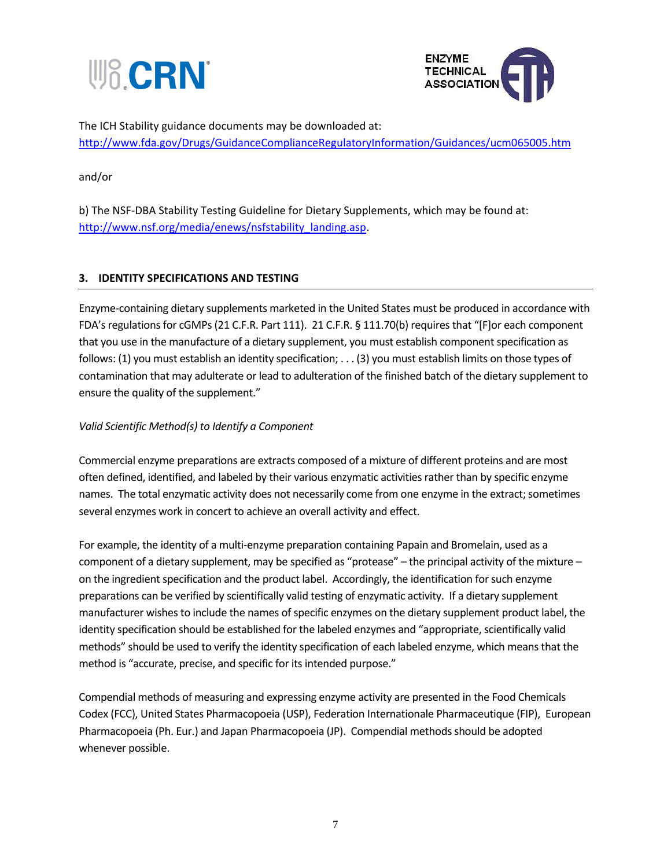



The ICH Stability guidance documents may be downloaded at: <http://www.fda.gov/Drugs/GuidanceComplianceRegulatoryInformation/Guidances/ucm065005.htm>

and/or

b) The NSF-DBA Stability Testing Guideline for Dietary Supplements, which may be found at: [http://www.nsf.org/media/enews/nsfstability\\_landing.asp.](http://www.nsf.org/media/enews/nsfstability_landing.asp)

# **3. IDENTITY SPECIFICATIONS AND TESTING**

Enzyme-containing dietary supplements marketed in the United States must be produced in accordance with FDA's regulations for cGMPs (21 C.F.R. Part 111). 21 C.F.R. § 111.70(b) requires that "[F]or each component that you use in the manufacture of a dietary supplement, you must establish component specification as follows: (1) you must establish an identity specification; . . . (3) you must establish limits on those types of contamination that may adulterate or lead to adulteration of the finished batch of the dietary supplement to ensure the quality of the supplement."

# *Valid Scientific Method(s) to Identify a Component*

Commercial enzyme preparations are extracts composed of a mixture of different proteins and are most often defined, identified, and labeled by their various enzymatic activities rather than by specific enzyme names. The total enzymatic activity does not necessarily come from one enzyme in the extract; sometimes several enzymes work in concert to achieve an overall activity and effect.

For example, the identity of a multi-enzyme preparation containing Papain and Bromelain, used as a component of a dietary supplement, may be specified as "protease" – the principal activity of the mixture – on the ingredient specification and the product label. Accordingly, the identification for such enzyme preparations can be verified by scientifically valid testing of enzymatic activity. If a dietary supplement manufacturer wishes to include the names of specific enzymes on the dietary supplement product label, the identity specification should be established for the labeled enzymes and "appropriate, scientifically valid methods" should be used to verify the identity specification of each labeled enzyme, which means that the method is "accurate, precise, and specific for its intended purpose."

Compendial methods of measuring and expressing enzyme activity are presented in the Food Chemicals Codex (FCC), United States Pharmacopoeia (USP), Federation Internationale Pharmaceutique (FIP), European Pharmacopoeia (Ph. Eur.) and Japan Pharmacopoeia (JP). Compendial methods should be adopted whenever possible.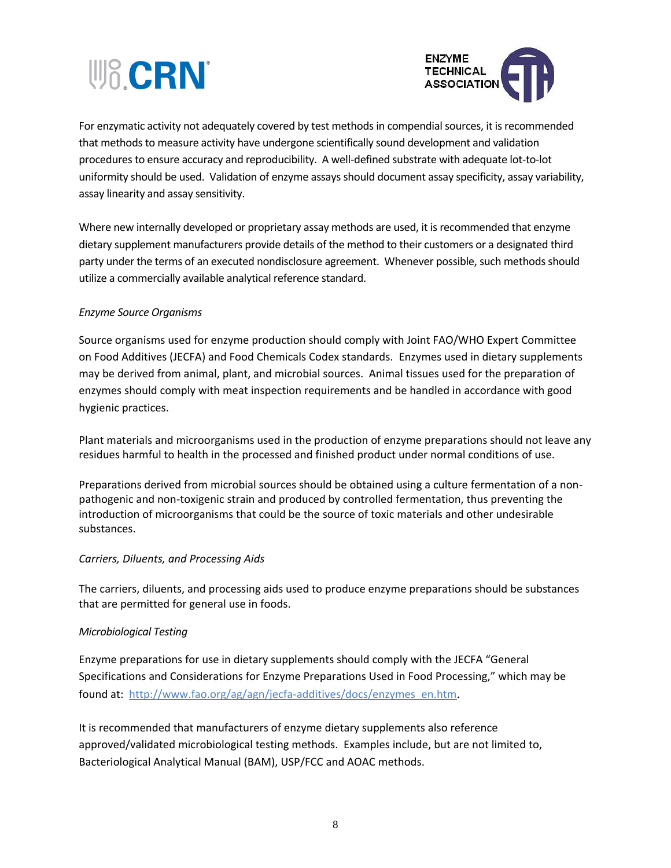



For enzymatic activity not adequately covered by test methods in compendial sources, it is recommended that methods to measure activity have undergone scientifically sound development and validation procedures to ensure accuracy and reproducibility. A well-defined substrate with adequate lot-to-lot uniformity should be used. Validation of enzyme assays should document assay specificity, assay variability, assay linearity and assay sensitivity.

Where new internally developed or proprietary assay methods are used, it is recommended that enzyme dietary supplement manufacturers provide details of the method to their customers or a designated third party under the terms of an executed nondisclosure agreement. Whenever possible, such methods should utilize a commercially available analytical reference standard.

## *Enzyme Source Organisms*

Source organisms used for enzyme production should comply with Joint FAO/WHO Expert Committee on Food Additives (JECFA) and Food Chemicals Codex standards. Enzymes used in dietary supplements may be derived from animal, plant, and microbial sources. Animal tissues used for the preparation of enzymes should comply with meat inspection requirements and be handled in accordance with good hygienic practices.

Plant materials and microorganisms used in the production of enzyme preparations should not leave any residues harmful to health in the processed and finished product under normal conditions of use.

Preparations derived from microbial sources should be obtained using a culture fermentation of a nonpathogenic and non-toxigenic strain and produced by controlled fermentation, thus preventing the introduction of microorganisms that could be the source of toxic materials and other undesirable substances.

#### *Carriers, Diluents, and Processing Aids*

The carriers, diluents, and processing aids used to produce enzyme preparations should be substances that are permitted for general use in foods.

## *Microbiological Testing*

Enzyme preparations for use in dietary supplements should comply with the JECFA "General Specifications and Considerations for Enzyme Preparations Used in Food Processing," which may be found at: [http://www.fao.org/ag/agn/jecfa-additives/docs/enzymes\\_en.htm](http://www.fao.org/ag/agn/jecfa-additives/docs/enzymes_en.htm).

It is recommended that manufacturers of enzyme dietary supplements also reference approved/validated microbiological testing methods. Examples include, but are not limited to, Bacteriological Analytical Manual (BAM), USP/FCC and AOAC methods.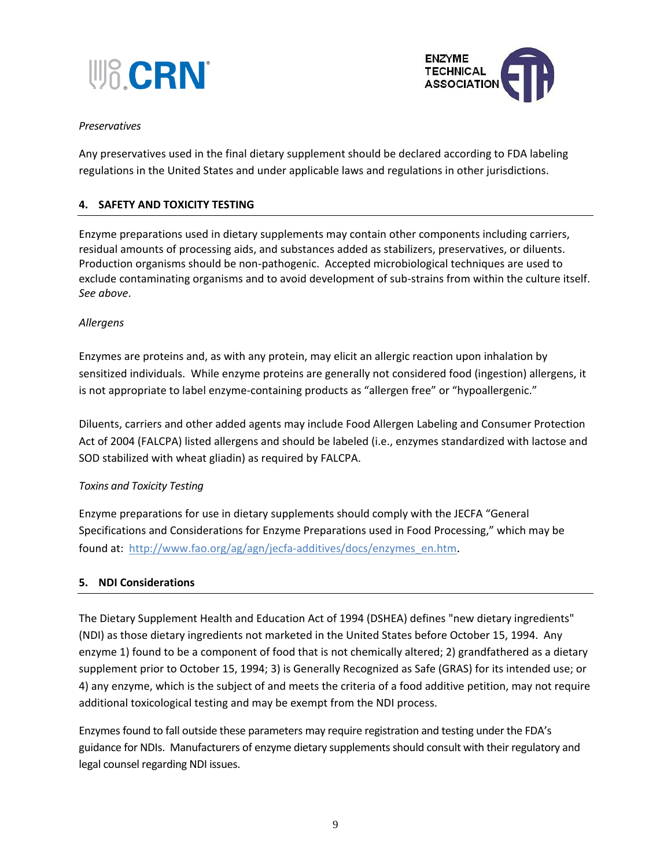



#### *Preservatives*

Any preservatives used in the final dietary supplement should be declared according to FDA labeling regulations in the United States and under applicable laws and regulations in other jurisdictions.

# **4. SAFETY AND TOXICITY TESTING**

Enzyme preparations used in dietary supplements may contain other components including carriers, residual amounts of processing aids, and substances added as stabilizers, preservatives, or diluents. Production organisms should be non-pathogenic. Accepted microbiological techniques are used to exclude contaminating organisms and to avoid development of sub-strains from within the culture itself. *See above*.

#### *Allergens*

Enzymes are proteins and, as with any protein, may elicit an allergic reaction upon inhalation by sensitized individuals. While enzyme proteins are generally not considered food (ingestion) allergens, it is not appropriate to label enzyme-containing products as "allergen free" or "hypoallergenic."

Diluents, carriers and other added agents may include Food Allergen Labeling and Consumer Protection Act of 2004 (FALCPA) listed allergens and should be labeled (i.e., enzymes standardized with lactose and SOD stabilized with wheat gliadin) as required by FALCPA.

## *Toxins and Toxicity Testing*

Enzyme preparations for use in dietary supplements should comply with the JECFA "General Specifications and Considerations for Enzyme Preparations used in Food Processing," which may be found at: [http://www.fao.org/ag/agn/jecfa-additives/docs/enzymes\\_en.htm](http://www.fao.org/ag/agn/jecfa-additives/docs/enzymes_en.htm).

## **5. NDI Considerations**

The Dietary Supplement Health and Education Act of 1994 (DSHEA) defines "new dietary ingredients" (NDI) as those dietary ingredients not marketed in the United States before October 15, 1994. Any enzyme 1) found to be a component of food that is not chemically altered; 2) grandfathered as a dietary supplement prior to October 15, 1994; 3) is Generally Recognized as Safe (GRAS) for its intended use; or 4) any enzyme, which is the subject of and meets the criteria of a food additive petition, may not require additional toxicological testing and may be exempt from the NDI process.

Enzymes found to fall outside these parameters may require registration and testing under the FDA's guidance for NDIs. Manufacturers of enzyme dietary supplements should consult with their regulatory and legal counsel regarding NDI issues.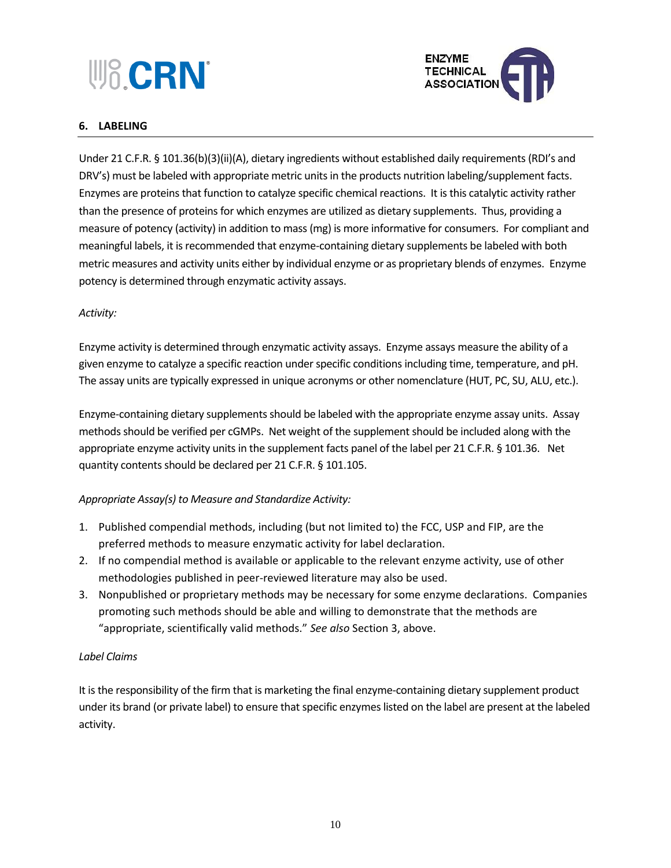# **W&CRN**



# **6. LABELING**

Under 21 C.F.R. § 101.36(b)(3)(ii)(A), dietary ingredients without established daily requirements (RDI's and DRV's) must be labeled with appropriate metric units in the products nutrition labeling/supplement facts. Enzymes are proteins that function to catalyze specific chemical reactions. It is this catalytic activity rather than the presence of proteins for which enzymes are utilized as dietary supplements. Thus, providing a measure of potency (activity) in addition to mass (mg) is more informative for consumers. For compliant and meaningful labels, it is recommended that enzyme-containing dietary supplements be labeled with both metric measures and activity units either by individual enzyme or as proprietary blends of enzymes. Enzyme potency is determined through enzymatic activity assays.

# *Activity:*

Enzyme activity is determined through enzymatic activity assays. Enzyme assays measure the ability of a given enzyme to catalyze a specific reaction under specific conditions including time, temperature, and pH. The assay units are typically expressed in unique acronyms or other nomenclature (HUT, PC, SU, ALU, etc.).

Enzyme-containing dietary supplements should be labeled with the appropriate enzyme assay units. Assay methods should be verified per cGMPs. Net weight of the supplement should be included along with the appropriate enzyme activity units in the supplement facts panel of the label per 21 C.F.R. § 101.36. Net quantity contents should be declared per 21 C.F.R. § 101.105.

# *Appropriate Assay(s) to Measure and Standardize Activity:*

- 1. Published compendial methods, including (but not limited to) the FCC, USP and FIP, are the preferred methods to measure enzymatic activity for label declaration.
- 2. If no compendial method is available or applicable to the relevant enzyme activity, use of other methodologies published in peer-reviewed literature may also be used.
- 3. Nonpublished or proprietary methods may be necessary for some enzyme declarations. Companies promoting such methods should be able and willing to demonstrate that the methods are "appropriate, scientifically valid methods." *See also* Section 3, above.

# *Label Claims*

It is the responsibility of the firm that is marketing the final enzyme-containing dietary supplement product under its brand (or private label) to ensure that specific enzymes listed on the label are present at the labeled activity.